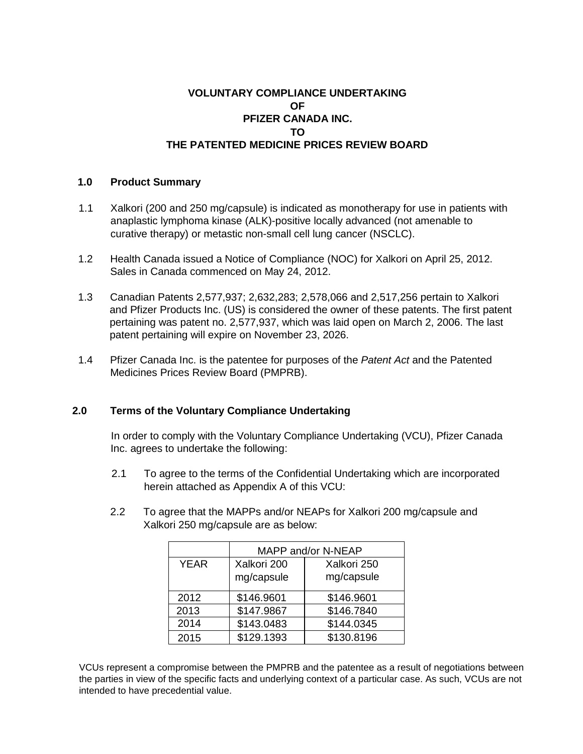## **VOLUNTARY COMPLIANCE UNDERTAKING OF PFIZER CANADA INC. TO THE PATENTED MEDICINE PRICES REVIEW BOARD**

## **1.0 Product Summary**

- 1.1 Xalkori (200 and 250 mg/capsule) is indicated as monotherapy for use in patients with anaplastic lymphoma kinase (ALK)-positive locally advanced (not amenable to curative therapy) or metastic non-small cell lung cancer (NSCLC).
- 1.2 Health Canada issued a Notice of Compliance (NOC) for Xalkori on April 25, 2012. Sales in Canada commenced on May 24, 2012.
- 1.3 Canadian Patents 2,577,937; 2,632,283; 2,578,066 and 2,517,256 pertain to Xalkori and Pfizer Products Inc. (US) is considered the owner of these patents. The first patent pertaining was patent no. 2,577,937, which was laid open on March 2, 2006. The last patent pertaining will expire on November 23, 2026.
- 1.4 Pfizer Canada Inc. is the patentee for purposes of the *Patent Act* and the Patented Medicines Prices Review Board (PMPRB).

## **2.0 Terms of the Voluntary Compliance Undertaking**

In order to comply with the Voluntary Compliance Undertaking (VCU), Pfizer Canada Inc. agrees to undertake the following:

- 2.1 To agree to the terms of the Confidential Undertaking which are incorporated herein attached as Appendix A of this VCU:
- 2.2 To agree that the MAPPs and/or NEAPs for Xalkori 200 mg/capsule and Xalkori 250 mg/capsule are as below:

|             | MAPP and/or N-NEAP |             |
|-------------|--------------------|-------------|
| <b>YEAR</b> | Xalkori 200        | Xalkori 250 |
|             | mg/capsule         | mg/capsule  |
| 2012        | \$146.9601         | \$146.9601  |
| 2013        | \$147.9867         | \$146.7840  |
| 2014        | \$143.0483         | \$144.0345  |
| 2015        | \$129.1393         | \$130.8196  |

VCUs represent a compromise between the PMPRB and the patentee as a result of negotiations between the parties in view of the specific facts and underlying context of a particular case. As such, VCUs are not intended to have precedential value.